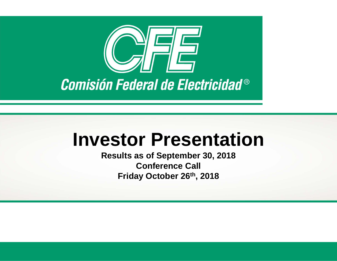

# **Investor Presentation**

**Results as of September 30, 2018 Conference Call Friday October 26th, 2018**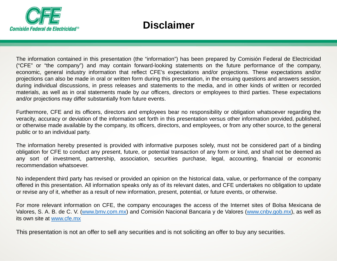

# **Disclaimer**

The information contained in this presentation (the "information") has been prepared by Comisión Federal de Electricidad ("CFE" or "the company") and may contain forward-looking statements on the future performance of the company, economic, general industry information that reflect CFE's expectations and/or projections. These expectations and/or projections can also be made in oral or written form during this presentation, in the ensuing questions and answers session, during individual discussions, in press releases and statements to the media, and in other kinds of written or recorded materials, as well as in oral statements made by our officers, directors or employees to third parties. These expectations and/or projections may differ substantially from future events.

Furthermore, CFE and its officers, directors and employees bear no responsibility or obligation whatsoever regarding the veracity, accuracy or deviation of the information set forth in this presentation versus other information provided, published, or otherwise made available by the company, its officers, directors, and employees, or from any other source, to the general public or to an individual party.

The information hereby presented is provided with informative purposes solely, must not be considered part of <sup>a</sup> binding obligation for CFE to conduct any present, future, or potential transaction of any form or kind, and shall not be deemed as any sort of investment, partnership, association, securities purchase, legal, accounting, financial or economic recommendation whatsoever.

No independent third party has revised or provided an opinion on the historical data, value, or performance of the company offered in this presentation. All information speaks only as of its relevant dates, and CFE undertakes no obligation to update or revise any of it, whether as <sup>a</sup> result of new information, present, potential, or future events, or otherwise.

For more relevant information on CFE, the company encourages the access of the Internet sites of Bolsa Mexicana de Valores, S. A. B. de C. V. (www.bmv.com.mx) and Comisión Nacional Bancaria y de Valores (www.cnbv.gob.mx), as well as its own site at www.cfe.mx

This presentation is not an offer to sell any securities and is not soliciting an offer to buy any securities.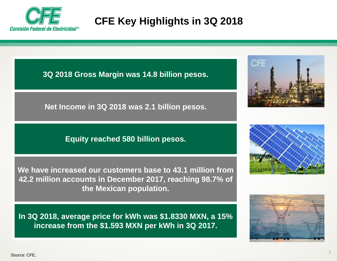

# **CFE Key Highlights in 3Q 2018**

**3Q 2018 Gross Margin was 14.8 billion pesos.** 

**Net Income in 3Q 2018 was 2.1 billion pesos.**

#### **Equity reached 580 billion pesos.**

**We have increased our customers base to 43.1 million from 42.2 million accounts in December 2017, reaching 98.7% of the Mexican population.** 

**In 3Q 2018, average price for kWh was \$1.8330 MXN, a 15% increase from the \$1.593 MXN per kWh in 3Q 2017.**





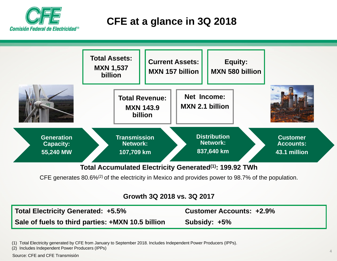

# **CFE at a glance in 3Q 2018**



CFE generates 80.6%(2) of the electricity in Mexico and provides power to 98.7% of the population.

#### **Growth 3Q 2018 vs. 3Q 2017**

**Total Electricity Generated: +5.5% Customer Accounts: +2.9% Sale of fuels to third parties: +MXN 10.5 billion Subsidy: +5%**

(1) Total Electricity generated by CFE from January to September 2018. Includes Independent Power Producers (IPPs).

(2) Includes Independent Power Producers (IPPs)

Source: CFE and CFE Transmisión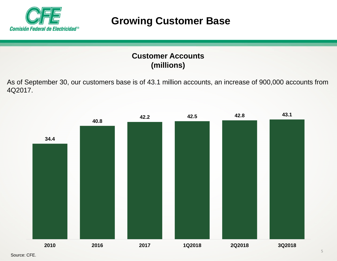

## **Growing Customer Base**

#### **Customer Accounts(millions)**

As of September 30, our customers base is of 43.1 million accounts, an increase of 900,000 accounts from 4Q2017.

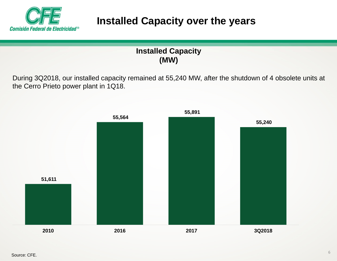

# **Installed Capacity over the years**

#### **Installed Capacity (MW)**

During 3Q2018, our installed capacity remained at 55,240 MW, after the shutdown of 4 obsolete units at the Cerro Prieto power plant in 1Q18.

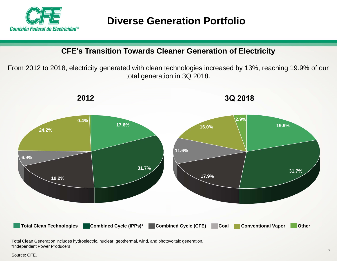

**CFE's Transition Towards Cleaner Generation of Electricity**

From 2012 to 2018, electricity generated with clean technologies increased by 13%, reaching 19.9% of our total generation in 3Q 2018.



Total Clean Generation includes hydroelectric, nuclear, geothermal, wind, and photovoltaic generation. \*Independent Power Producers

Source: CFE.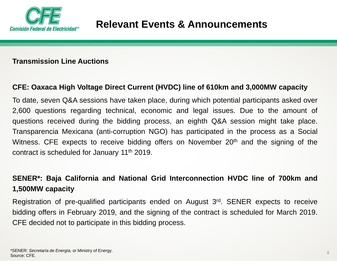

#### **Transmission Line Auctions**

#### CFE: Oaxaca High Voltage Direct Current (HVDC) line of 610km and 3,000MW capacity

To date, seven Q&A sessions have taken place, during which potential participants asked over 2,600 questions regarding technical, economic and legal issues. Due to the amount of questions received during the bidding process, an eighth Q&A session might take place. Transparencia Mexicana (anti-corruption NGO) has participated in the process as <sup>a</sup> Social Witness. CFE expects to receive bidding offers on November 20<sup>th</sup> and the signing of the contract is scheduled for January 11th 2019.

#### SENER\*: Baja California and National Grid Interconnection HVDC line of 700km and **1,500MW capacity**

Registration of pre-qualified participants ended on August 3rd. SENER expects to receive bidding offers in February 2019, and the signing of the contract is scheduled for March 2019. CFE decided not to participate in this bidding process.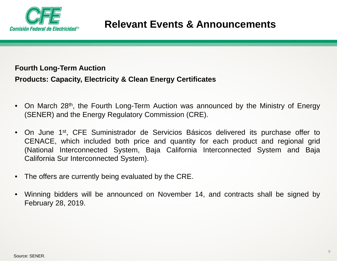

#### **Fourth Long-Term Auction**

**Products: Capacity, Electricity & Clean Energy Certificates**

- $\bullet$ On March 28<sup>th</sup>, the Fourth Long-Term Auction was announced by the Ministry of Energy (SENER) and the Energy Regulatory Commission (CRE).
- $\bullet$ On June 1<sup>st</sup>, CFE Suministrador de Servicios Básicos delivered its purchase offer to CENACE, which included both price and quantity for each product and regional grid (National Interconnected System, Baja California Interconnected System and Baja California Sur Interconnected System).
- The offers are currently being evaluated by the CRE.
- $\bullet$  Winning bidders will be announced on November 14, and contracts shall be signed by February 28, 2019.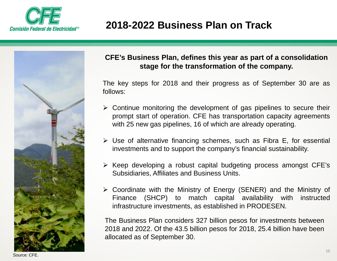

# **2018-2022 Business Plan on Track**



#### **CFE's Business Plan, defines this year as part of a consolidation stage for the transformation of the company.**

The key steps for 2018 and their progress as of September 30 are as follows:

- Continue monitoring the development of gas pipelines to secure their prompt start of operation. CFE has transportation capacity agreements with 25 new gas pipelines, 16 of which are already operating.
- Use of alternative financing schemes, such as Fibra E, for essential investments and to support the company's financial sustainability.
- $\triangleright$  Keep developing a robust capital budgeting process amongst CFE's Subsidiaries, Affiliates and Business Units.
- Coordinate with the Ministry of Energy (SENER) and the Ministry of Finance (SHCP) to match capital availability with instructed infrastructure investments, as established in PRODESEN.

The Business Plan considers 327 billion pesos for investments between 2018 and 2022. Of the 43.5 billion pesos for 2018, 25.4 billion have been allocated as of September 30.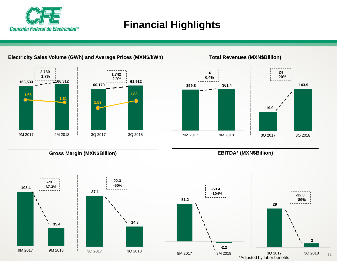

# **Financial Highlights**



**Electricity Sales Volume (GWh) and Average Prices (MXN\$/kWh)**



**Total Revenues (MXN\$Billion)**

**Gross Margin (MXN\$Billion)**



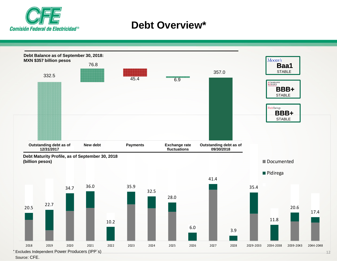

### **Debt Overview\***



Source: CFE.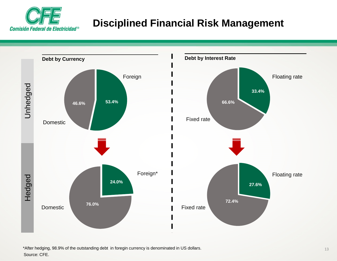

# **Disciplined Financial Risk Management**



Source: CFE. \*After hedging, 98.9% of the outstanding debt in foregin currency is denominated in US dollars.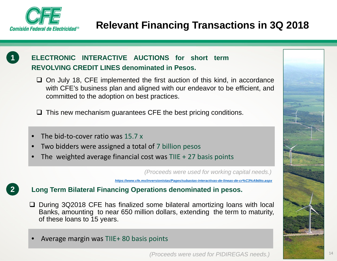



**2**

#### **ELECTRONIC INTERACTIVE AUCTIONS for short termREVOLVING CREDIT LINES denominated in Pesos.**

 $\Box$  On July 18, CFE implemented the first auction of this kind, in accordance with CFE's business plan and aligned with our endeavor to be efficient, and committed to the adoption on best practices.

 $\Box$  This new mechanism guarantees CFE the best pricing conditions.

- •● The bid-to-cover ratio was 15.7 x
- •Two bidders were assigned a total of 7 billion pesos
- •• The weighted average financial cost was TIIE + 27 basis points

*(Proceeds were used for working capital needs.)* 

*https://www.cfe.mx/inversionistas/Pages/subastas-interactivas-de-lineas-de-cr%C3%A9dito.aspx*

#### **Long Term Bilateral Financing Operations denominated in pesos.**

- □ During 3Q2018 CFE has finalized some bilateral amortizing loans with local Banks, amounting to near 650 million dollars, extending the term to maturity, of these loans to 15 years.
- •Average margin was TIIE+ 80 basis points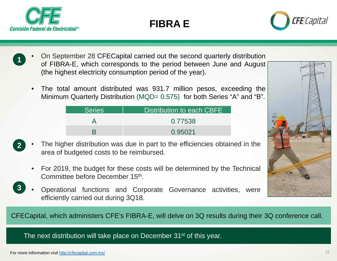





- • On September 28 CFECapital carried out the second quarterly distribution of FIBRA-E, which corresponds to the period between June and August (the highest electricity consumption period of the year). **1**
	- • The total amount distributed was 931.7 million pesos, exceeding the Minimum Quarterly Distribution (MQD= 0.575) for both Series "A" and "B".

| <b>Series</b> | Distribution to each CBFE |
|---------------|---------------------------|
|               | 0.77538                   |
|               | 0.95021                   |



- **2**The higher distribution was due in part to the efficiencies obtained in the area of budgeted costs to be reimbursed.
	- • For 2019, the budget for these costs will be determined by the Technical Committee before December 15th.
- • Operational functions and Corporate Governance activities, were efficiently carried out during 3Q18. **3**

CFECapital, which administers CFE's FIBRA-E, will delve on 3Q results during their 3Q conference call.

The next distribution will take place on December 31<sup>st</sup> of this year.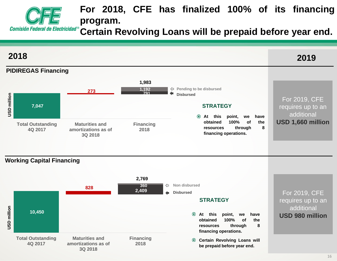

### **For 2018, CFE has finalized 100% of its financing program.**

**Certain Revolving Loans will be prepaid before year end.**

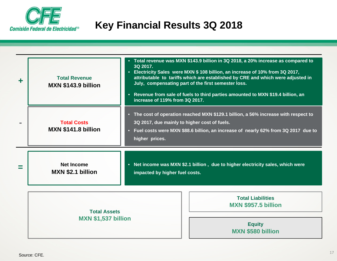

# **Key Financial Results 3Q 2018**

| <b>Total Revenue</b><br><b>MXN \$143.9 billion</b> | Total revenue was MXN \$143.9 billion in 3Q 2018, a 20% increase as compared to<br>3Q 2017.<br>• Electricity Sales were MXN \$ 108 billion, an increase of 10% from 3Q 2017,<br>attributable to tariffs which are established by CRE and which were adjusted in<br>July, compensating part of the first semester loss.<br>• Revenue from sale of fuels to third parties amounted to MXN \$19.4 billion, an<br>increase of 119% from 3Q 2017. |  |  |  |  |  |
|----------------------------------------------------|----------------------------------------------------------------------------------------------------------------------------------------------------------------------------------------------------------------------------------------------------------------------------------------------------------------------------------------------------------------------------------------------------------------------------------------------|--|--|--|--|--|
| <b>Total Costs</b><br>MXN \$141.8 billion          | • The cost of operation reached MXN \$129.1 billion, a 56% increase with respect to<br>3Q 2017, due mainly to higher cost of fuels.<br>• Fuel costs were MXN \$88.6 billion, an increase of nearly 62% from 3Q 2017 due to<br>higher prices.                                                                                                                                                                                                 |  |  |  |  |  |
| <b>Net Income</b><br><b>MXN \$2.1 billion</b>      | • Net income was MXN \$2.1 billion, due to higher electricity sales, which were<br>impacted by higher fuel costs.                                                                                                                                                                                                                                                                                                                            |  |  |  |  |  |
| <b>Total Assets</b>                                | <b>Total Liabilities</b><br><b>MXN \$957.5 billion</b>                                                                                                                                                                                                                                                                                                                                                                                       |  |  |  |  |  |
| <b>MXN \$1,537 billion</b>                         | <b>Equity</b><br><b>MXN \$580 billion</b>                                                                                                                                                                                                                                                                                                                                                                                                    |  |  |  |  |  |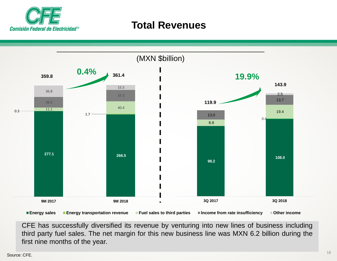

### **Total Revenues**



CFE has successfully diversified its revenue by venturing into new lines of business including third party fuel sales. The net margin for this new business line was MXN 6.2 billion during the first nine months of the year.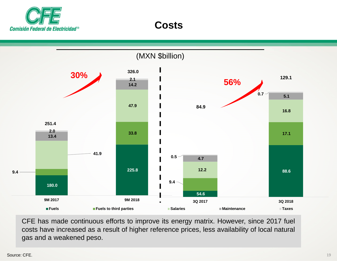



CFE has made continuous efforts to improve its energy matrix. However, since 2017 fuel costs have increased as <sup>a</sup> result of higher reference prices, less availability of local natural gas and <sup>a</sup> weakened peso.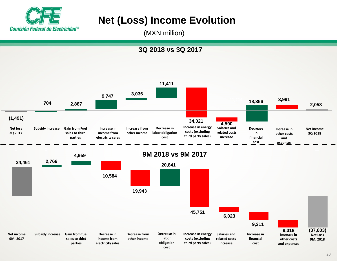

# **Net (Loss) Income Evolution**

(MXN million)

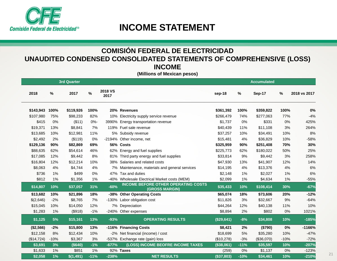

### **INCOME STATEMENT**

#### **COMISIÓN FEDERAL DE ELECTRICIDAD UNAUDITED CONDENSED CONSOLIDATED STATEMENTS OF COMPREHENSIVE (LOSS) INCOME**

**(Millions of Mexican pesos)**

|            |        | <b>3rd Quarter</b> |        |                        |                                                              |            |        | <b>Accumulated</b> |        |              |
|------------|--------|--------------------|--------|------------------------|--------------------------------------------------------------|------------|--------|--------------------|--------|--------------|
| 2018       | $\%$   | 2017               | $\%$   | <b>2018 VS</b><br>2017 |                                                              | sep-18     | $\%$   | Sep-17             | $\%$   | 2018 vs 2017 |
| \$143,943  | 100%   | \$119,926          | 100%   |                        | 20% Revenues                                                 | \$361,392  | 100%   | \$359,822          | 100%   | 0%           |
| \$107,980  | 75%    | \$98,233           | 82%    |                        | 10% Electricity supply service revenue                       | \$266,479  | 74%    | \$277,063          | 77%    | $-4%$        |
| \$415      | 0%     | ( \$11)            | $0% -$ |                        | 3990% Energy transportation revenue                          | \$1,737    | 0%     | \$331              | 0%     | 425%         |
| \$19,371   | 13%    | \$8,841            | 7%     |                        | 119% Fuel sale revenue                                       | \$40,439   | 11%    | \$11,108           | 3%     | 264%         |
| \$13,685   | 10%    | \$12,981           | 11%    |                        | 5% Subsidy revenue                                           | \$37,257   | 10%    | \$34,491           | 10%    | 8%           |
| \$2,492    | 2%     | (\$119)            | 0%     |                        | -2194% Other income, net                                     | \$15,481   | 4%     | \$36,829           | 10%    | $-58%$       |
| \$129,136  | 90%    | \$82,869           | 69%    |                        | 56% Costs                                                    | \$325,959  | 90%    | \$251,408          | 70%    | 30%          |
| \$88,635   | 62%    | \$54,614           | 46%    |                        | 62% Energy and fuel supplies                                 | \$225,773  | 62%    | \$180,022          | 50%    | 25%          |
| \$17,085   | 12%    | \$9,442            | 8%     |                        | 81% Third party energy and fuel supplies                     | \$33,814   | 9%     | \$9,442            | $3%$   | 258%         |
| \$16,804   | 12%    | \$12,214           | 10%    |                        | 38% Salaries and related costs                               | \$47,930   | 13%    | \$41,907           | 12%    | 14%          |
| \$8,063    | 4%     | \$4,744            | 4%     |                        | 7% Maintenance, materials and general services               | \$14,195   | 4%     | \$13,376           | 4%     | 6%           |
| \$736      | 1%     | \$499              | 0%     |                        | 47% Tax and duties                                           | \$2.148    | 1%     | \$2.027            | 1%     | 6%           |
| \$812      | 1%     | \$1,356            | 1%     |                        | -40% Wholesale Electrical Market costs (MEM)                 | \$2,099    | 1%     | \$4,634            | 1%     | $-55%$       |
| \$14,807   | 10%    | \$37,057           | 31%    | $-60%$                 | <b>INCOME BEFORE OTHER OPERATING COSTS</b><br>(GROSS MARGIN) | \$35,433   | 10%    | \$108,414          | 30%    | $-67%$       |
| \$13,682   | 10%    | \$21,896           | 18%    |                        | -38% Other Operating Costs                                   | \$65,074   | 18%    | \$73,606           | 20%    | $-12%$       |
| \$(2,646)  | $-2%$  | \$8,765            | 7%     |                        | -130% Labor obligation cost                                  | \$11,826   | 3%     | \$32,667           | $9\%$  | $-64%$       |
| \$15,045   | 10%    | \$14,050           | 12%    |                        | 7% Depreciation                                              | \$44,264   | 12%    | \$40,138           | 11%    | 10%          |
| \$1,283    | 1%     | (\$918)            | $-1%$  |                        | -240% Other expenses                                         | \$8,894    | 2%     | \$802              | 0%     | 1021%        |
| \$1,125    | 5%     | \$15,161           | 13%    | $-93%$                 | <b>OPERATING RESULTS</b>                                     | (\$29,641) | $-8%$  | \$34,808           | 10%    | $-185%$      |
| (\$2,566)  | $-2%$  | \$15,800           | 13%    |                        | -116% Financing Costs                                        | \$8,421    | 2%     | (\$790)            | 0%     | $-1166%$     |
| \$12,158   | 8%     | \$12,434           | 10%    |                        | -2% Net financial (income) / cost                            | \$18,699   | 5%     | \$35,280           | 10%    | $-47%$       |
| (\$14,724) | $-10%$ | \$3,367            | 3%     |                        | -537% Exchange rate (gain) loss                              | (\$10,278) | $-3%$  | (\$36,070)         | $-10%$ | $-72%$       |
| \$3,691    | 3%     | $($ \$640)         | $-1%$  | $-677%$                | (LOSS) INCOME BEOFRE INCOME TAXES                            | (\$38,061) | $-11%$ | \$35,597           | 10%    | $-207%$      |
| \$1,633    | 1%     | \$851              | 1%     |                        | 92% Taxes                                                    | (259)      | 0%     | \$1,137            | 0%     | $-123%$      |
| \$2,058    | 1%     | \$(1,491)          | $-11%$ | $-238%$                | <b>NET RESULTS</b>                                           | (\$37,803) | $-10%$ | \$34,461           | 10%    | $-210%$      |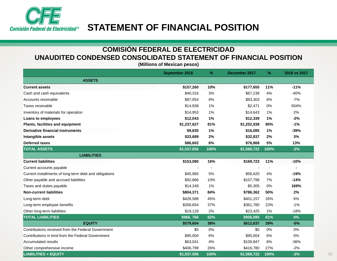

#### **COMISIÓN FEDERAL DE ELECTRICIDADUNAUDITED CONDENSED CONSOLIDATED STATEMENT OF FINANCIAL POSITION**

**(Millions of Mexican pesos)**

|                                                        | September 2018 | $\frac{9}{6}$ | December 2017 | $\%$ | 2018 vs 2017 |
|--------------------------------------------------------|----------------|---------------|---------------|------|--------------|
| <b>ASSETS</b>                                          |                |               |               |      |              |
| <b>Current assets</b>                                  | \$157,260      | 10%           | \$177,655     | 11%  | $-11%$       |
| Cash and cash equivalents                              | \$40,316       | 3%            | \$67,238      | 4%   | $-40%$       |
| Accounts receivable                                    | \$87,054       | 6%            | \$93,303      | 6%   | $-7%$        |
| Taxes receivable                                       | \$14,938       | 1%            | \$2,471       | 0%   | 504%         |
| Inventory of materials for operation                   | \$14,953       | 1%            | \$14,643      | 1%   | 2%           |
| Loans to employees                                     | \$12,043       | 1%            | \$12,339      | 1%   | $-2%$        |
| Plants, facilities and equipment                       | \$1,237,627    | 81%           | \$1,252,938   | 80%  | $-1%$        |
| <b>Derivative financial instruments</b>                | \$9,835        | 1%            | \$16,085      | 1%   | $-39%$       |
| Intangible assets                                      | \$33,689       | 2%            | \$32,837      | 2%   | 3%           |
| <b>Deferred taxes</b>                                  | \$86,602       | 6%            | \$76,868      | 5%   | 13%          |
| <b>TOTAL ASSETS</b>                                    | \$1,537,056    | 100%          | \$1,568,722   | 100% | $-2%$        |
| <b>LIABILITIES</b>                                     |                |               |               |      |              |
| <b>Current liabilities</b>                             | \$153,080      | 16%           | \$169,723     | 11%  | $-10%$       |
| Current accounts payable                               |                |               |               |      |              |
| Current installments of long-term debt and obligations | \$45,965       | 5%            | \$56,620      | 4%   | $-19%$       |
| Other payable and accrued liabilities                  | \$92,866       | 10%           | \$107,798     | 7%   | $-14%$       |
| Taxes and duties payable                               | \$14,249       | 1%            | \$5,305       | 0%   | 169%         |
| <b>Non-current liabilities</b>                         | \$804,371      | 84%           | \$786,362     | 50%  | 2%           |
| Long-term debt                                         | \$426,588      | 45%           | \$401,157     | 26%  | 6%           |
| Long-term employee benefits                            | \$358,654      | 37%           | \$361,780     | 23%  | $-1%$        |
| Other long-term liabilities                            | \$19,129       | 2%            | \$23,425      | 1%   | $-18%$       |
| <b>TOTAL LIABILITIES</b>                               | \$966,766      | 62%           | \$956,085     | 61%  | 0%           |
| <b>EQUITY</b>                                          | \$579,604      | 38%           | \$612,637     | 39%  | $-5%$        |
| Contributions received from the Federal Government     | \$5            | 0%            | \$5           | 0%   | 0%           |
| Contributions in kind from the Federal Government      | \$95,004       | 6%            | \$95,004      | 6%   | 0%           |
| <b>Accumulated results</b>                             | \$63,041       | 4%            | \$100,847     | 6%   | $-36%$       |
| Other comprehensive income                             | \$406,799      | 26%           | \$416,780     | 27%  | $-2%$        |
| <b>LIABILITIES + EQUITY</b>                            | \$1,537,056    | 100%          | \$1,568,722   | 100% | $-2%$        |